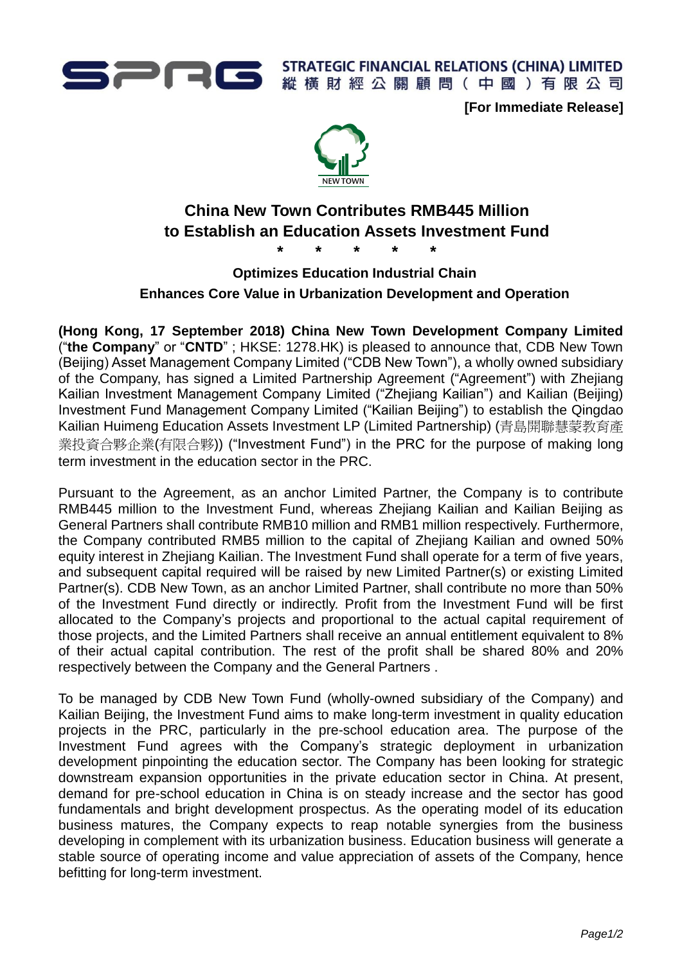

**[For Immediate Release]**



# **China New Town Contributes RMB445 Million to Establish an Education Assets Investment Fund \* \* \* \* \***

**Optimizes Education Industrial Chain Enhances Core Value in Urbanization Development and Operation**

**(Hong Kong, 17 September 2018) China New Town Development Company Limited** ("**the Company**" or "**CNTD**" ; HKSE: 1278.HK) is pleased to announce that, CDB New Town (Beijing) Asset Management Company Limited ("CDB New Town"), a wholly owned subsidiary of the Company, has signed a Limited Partnership Agreement ("Agreement") with Zhejiang Kailian Investment Management Company Limited ("Zhejiang Kailian") and Kailian (Beijing) Investment Fund Management Company Limited ("Kailian Beijing") to establish the Qingdao Kailian Huimeng Education Assets Investment LP (Limited Partnership) (青島開聯慧蒙教育產 業投資合夥企業(有限合夥)) ("Investment Fund") in the PRC for the purpose of making long term investment in the education sector in the PRC.

Pursuant to the Agreement, as an anchor Limited Partner, the Company is to contribute RMB445 million to the Investment Fund, whereas Zhejiang Kailian and Kailian Beijing as General Partners shall contribute RMB10 million and RMB1 million respectively. Furthermore, the Company contributed RMB5 million to the capital of Zhejiang Kailian and owned 50% equity interest in Zhejiang Kailian. The Investment Fund shall operate for a term of five years, and subsequent capital required will be raised by new Limited Partner(s) or existing Limited Partner(s). CDB New Town, as an anchor Limited Partner, shall contribute no more than 50% of the Investment Fund directly or indirectly. Profit from the Investment Fund will be first allocated to the Company's projects and proportional to the actual capital requirement of those projects, and the Limited Partners shall receive an annual entitlement equivalent to 8% of their actual capital contribution. The rest of the profit shall be shared 80% and 20% respectively between the Company and the General Partners .

To be managed by CDB New Town Fund (wholly-owned subsidiary of the Company) and Kailian Beijing, the Investment Fund aims to make long-term investment in quality education projects in the PRC, particularly in the pre-school education area. The purpose of the Investment Fund agrees with the Company's strategic deployment in urbanization development pinpointing the education sector. The Company has been looking for strategic downstream expansion opportunities in the private education sector in China. At present, demand for pre-school education in China is on steady increase and the sector has good fundamentals and bright development prospectus. As the operating model of its education business matures, the Company expects to reap notable synergies from the business developing in complement with its urbanization business. Education business will generate a stable source of operating income and value appreciation of assets of the Company, hence befitting for long-term investment.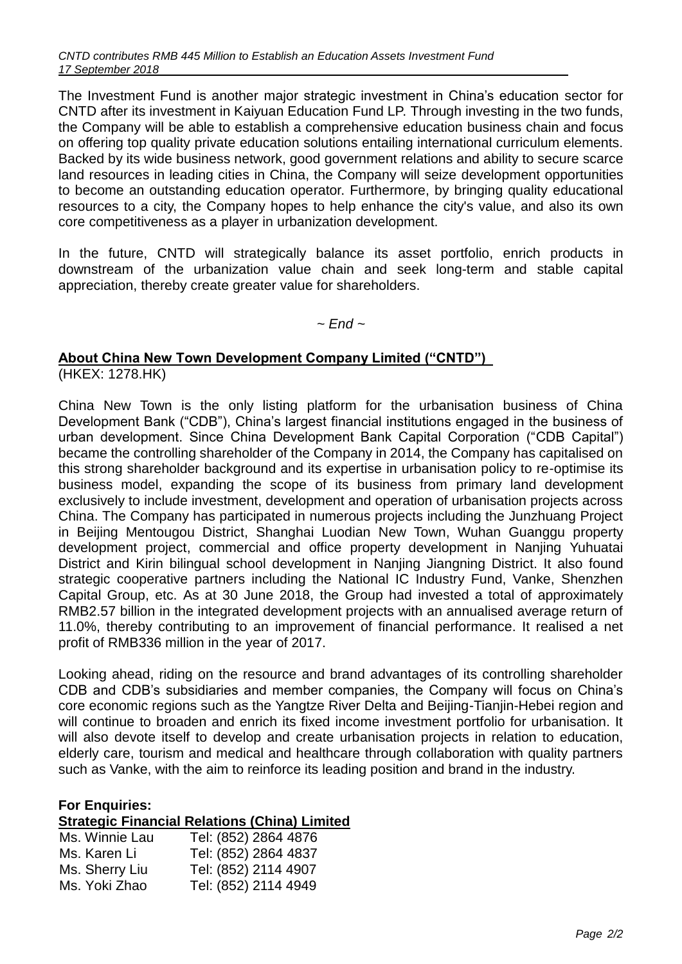The Investment Fund is another major strategic investment in China's education sector for CNTD after its investment in Kaiyuan Education Fund LP. Through investing in the two funds, the Company will be able to establish a comprehensive education business chain and focus on offering top quality private education solutions entailing international curriculum elements. Backed by its wide business network, good government relations and ability to secure scarce land resources in leading cities in China, the Company will seize development opportunities to become an outstanding education operator. Furthermore, by bringing quality educational resources to a city, the Company hopes to help enhance the city's value, and also its own core competitiveness as a player in urbanization development.

In the future, CNTD will strategically balance its asset portfolio, enrich products in downstream of the urbanization value chain and seek long-term and stable capital appreciation, thereby create greater value for shareholders.

### *~ End ~*

## **About China New Town Development Company Limited ("CNTD")**

(HKEX: 1278.HK)

China New Town is the only listing platform for the urbanisation business of China Development Bank ("CDB"), China's largest financial institutions engaged in the business of urban development. Since China Development Bank Capital Corporation ("CDB Capital") became the controlling shareholder of the Company in 2014, the Company has capitalised on this strong shareholder background and its expertise in urbanisation policy to re-optimise its business model, expanding the scope of its business from primary land development exclusively to include investment, development and operation of urbanisation projects across China. The Company has participated in numerous projects including the Junzhuang Project in Beijing Mentougou District, Shanghai Luodian New Town, Wuhan Guanggu property development project, commercial and office property development in Nanjing Yuhuatai District and Kirin bilingual school development in Nanjing Jiangning District. It also found strategic cooperative partners including the National IC Industry Fund, Vanke, Shenzhen Capital Group, etc. As at 30 June 2018, the Group had invested a total of approximately RMB2.57 billion in the integrated development projects with an annualised average return of 11.0%, thereby contributing to an improvement of financial performance. It realised a net profit of RMB336 million in the year of 2017.

Looking ahead, riding on the resource and brand advantages of its controlling shareholder CDB and CDB's subsidiaries and member companies, the Company will focus on China's core economic regions such as the Yangtze River Delta and Beijing-Tianjin-Hebei region and will continue to broaden and enrich its fixed income investment portfolio for urbanisation. It will also devote itself to develop and create urbanisation projects in relation to education, elderly care, tourism and medical and healthcare through collaboration with quality partners such as Vanke, with the aim to reinforce its leading position and brand in the industry.

### **For Enquiries:**

#### **Strategic Financial Relations (China) Limited**

| Ms. Winnie Lau | Tel: (852) 2864 4876 |
|----------------|----------------------|
| Ms. Karen Li   | Tel: (852) 2864 4837 |
| Ms. Sherry Liu | Tel: (852) 2114 4907 |
| Ms. Yoki Zhao  | Tel: (852) 2114 4949 |